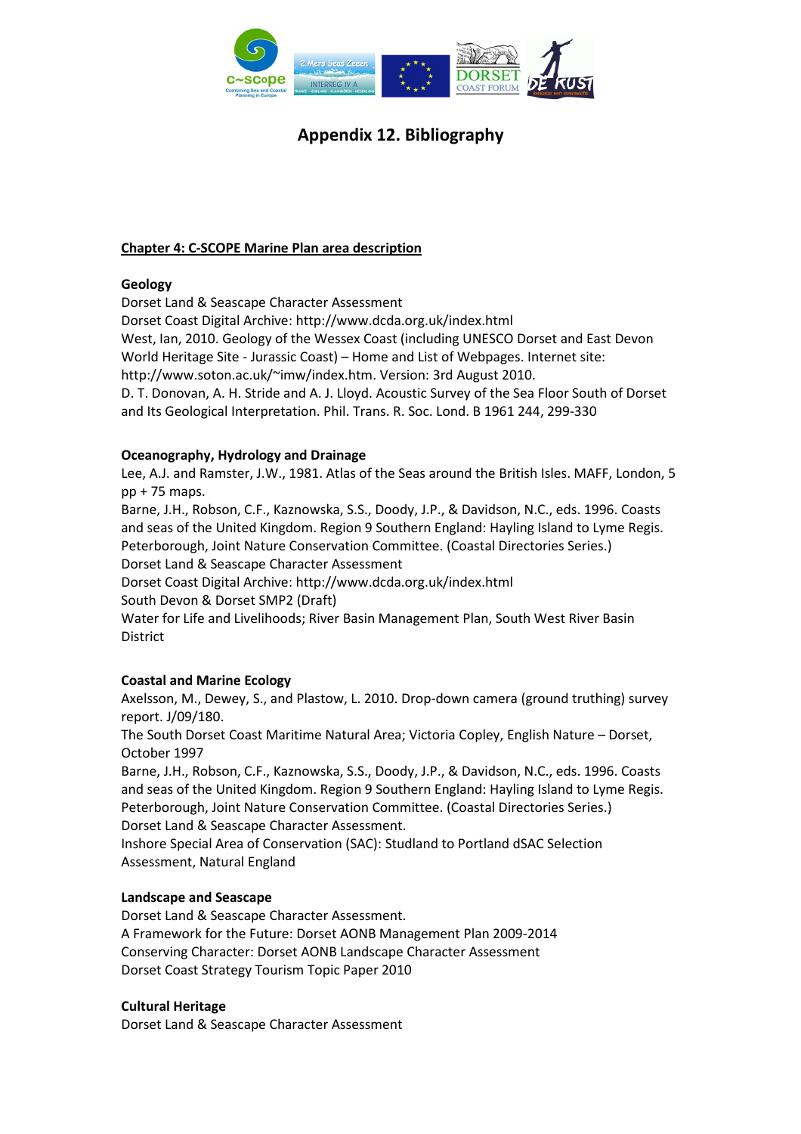

## Chapter 4: C-SCOPE Marine Plan area description

## Geology

Dorset Land & Seascape Character Assessment

Dorset Coast Digital Archive: http://www.dcda.org.uk/index.html

West, Ian, 2010. Geology of the Wessex Coast (including UNESCO Dorset and East Devon World Heritage Site - Jurassic Coast) – Home and List of Webpages. Internet site:

http://www.soton.ac.uk/~imw/index.htm. Version: 3rd August 2010.

D. T. Donovan, A. H. Stride and A. J. Lloyd. Acoustic Survey of the Sea Floor South of Dorset and Its Geological Interpretation. Phil. Trans. R. Soc. Lond. B 1961 244, 299-330

## Oceanography, Hydrology and Drainage

Lee, A.J. and Ramster, J.W., 1981. Atlas of the Seas around the British Isles. MAFF, London, 5 pp + 75 maps.

Barne, J.H., Robson, C.F., Kaznowska, S.S., Doody, J.P., & Davidson, N.C., eds. 1996. Coasts and seas of the United Kingdom. Region 9 Southern England: Hayling Island to Lyme Regis. Peterborough, Joint Nature Conservation Committee. (Coastal Directories Series.) Dorset Land & Seascape Character Assessment

Dorset Coast Digital Archive: http://www.dcda.org.uk/index.html

South Devon & Dorset SMP2 (Draft)

Water for Life and Livelihoods; River Basin Management Plan, South West River Basin District

## Coastal and Marine Ecology

Axelsson, M., Dewey, S., and Plastow, L. 2010. Drop-down camera (ground truthing) survey report. J/09/180.

The South Dorset Coast Maritime Natural Area; Victoria Copley, English Nature – Dorset, October 1997

Barne, J.H., Robson, C.F., Kaznowska, S.S., Doody, J.P., & Davidson, N.C., eds. 1996. Coasts and seas of the United Kingdom. Region 9 Southern England: Hayling Island to Lyme Regis. Peterborough, Joint Nature Conservation Committee. (Coastal Directories Series.) Dorset Land & Seascape Character Assessment.

Inshore Special Area of Conservation (SAC): Studland to Portland dSAC Selection Assessment, Natural England

## Landscape and Seascape

Dorset Land & Seascape Character Assessment. A Framework for the Future: Dorset AONB Management Plan 2009-2014 Conserving Character: Dorset AONB Landscape Character Assessment Dorset Coast Strategy Tourism Topic Paper 2010

## Cultural Heritage

Dorset Land & Seascape Character Assessment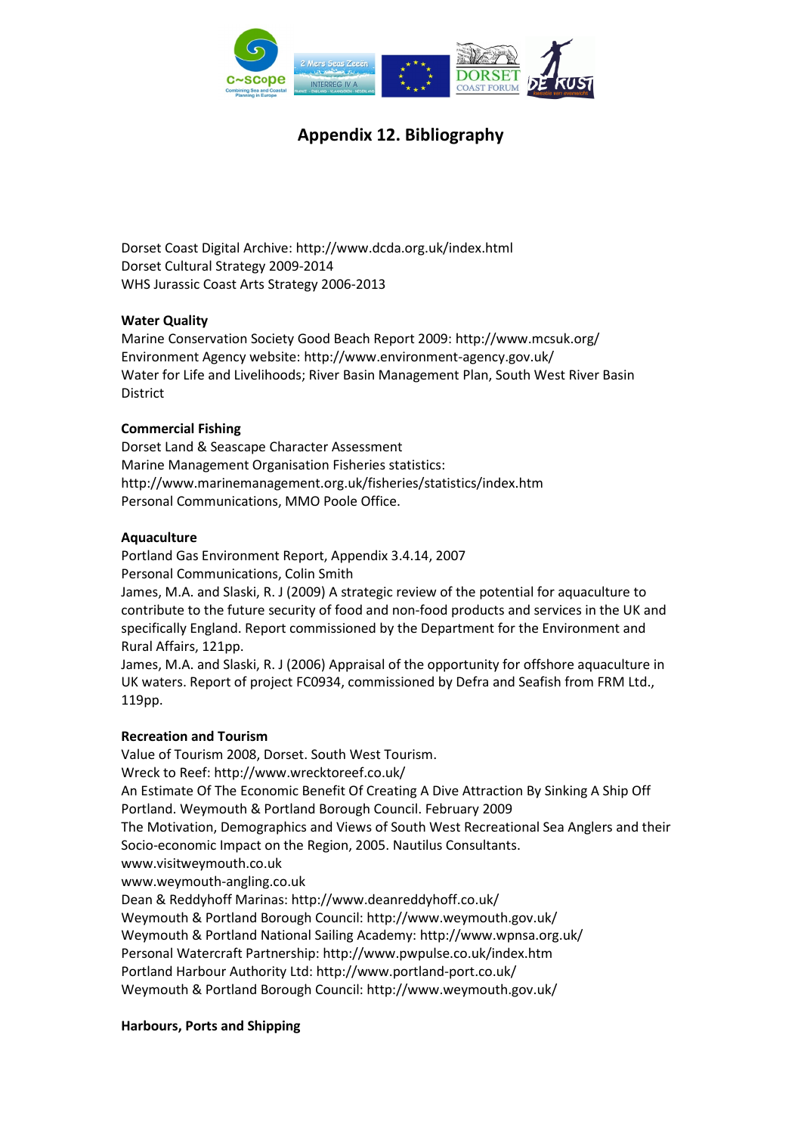

Dorset Coast Digital Archive: http://www.dcda.org.uk/index.html Dorset Cultural Strategy 2009-2014 WHS Jurassic Coast Arts Strategy 2006-2013

#### Water Quality

Marine Conservation Society Good Beach Report 2009: http://www.mcsuk.org/ Environment Agency website: http://www.environment-agency.gov.uk/ Water for Life and Livelihoods; River Basin Management Plan, South West River Basin District

#### Commercial Fishing

Dorset Land & Seascape Character Assessment Marine Management Organisation Fisheries statistics: http://www.marinemanagement.org.uk/fisheries/statistics/index.htm Personal Communications, MMO Poole Office.

#### Aquaculture

Portland Gas Environment Report, Appendix 3.4.14, 2007 Personal Communications, Colin Smith

James, M.A. and Slaski, R. J (2009) A strategic review of the potential for aquaculture to contribute to the future security of food and non-food products and services in the UK and specifically England. Report commissioned by the Department for the Environment and Rural Affairs, 121pp.

James, M.A. and Slaski, R. J (2006) Appraisal of the opportunity for offshore aquaculture in UK waters. Report of project FC0934, commissioned by Defra and Seafish from FRM Ltd., 119pp.

#### Recreation and Tourism

Value of Tourism 2008, Dorset. South West Tourism. Wreck to Reef: http://www.wrecktoreef.co.uk/ An Estimate Of The Economic Benefit Of Creating A Dive Attraction By Sinking A Ship Off Portland. Weymouth & Portland Borough Council. February 2009 The Motivation, Demographics and Views of South West Recreational Sea Anglers and their Socio-economic Impact on the Region, 2005. Nautilus Consultants. www.visitweymouth.co.uk www.weymouth-angling.co.uk Dean & Reddyhoff Marinas: http://www.deanreddyhoff.co.uk/ Weymouth & Portland Borough Council: http://www.weymouth.gov.uk/ Weymouth & Portland National Sailing Academy: http://www.wpnsa.org.uk/ Personal Watercraft Partnership: http://www.pwpulse.co.uk/index.htm Portland Harbour Authority Ltd: http://www.portland-port.co.uk/ Weymouth & Portland Borough Council: http://www.weymouth.gov.uk/

## Harbours, Ports and Shipping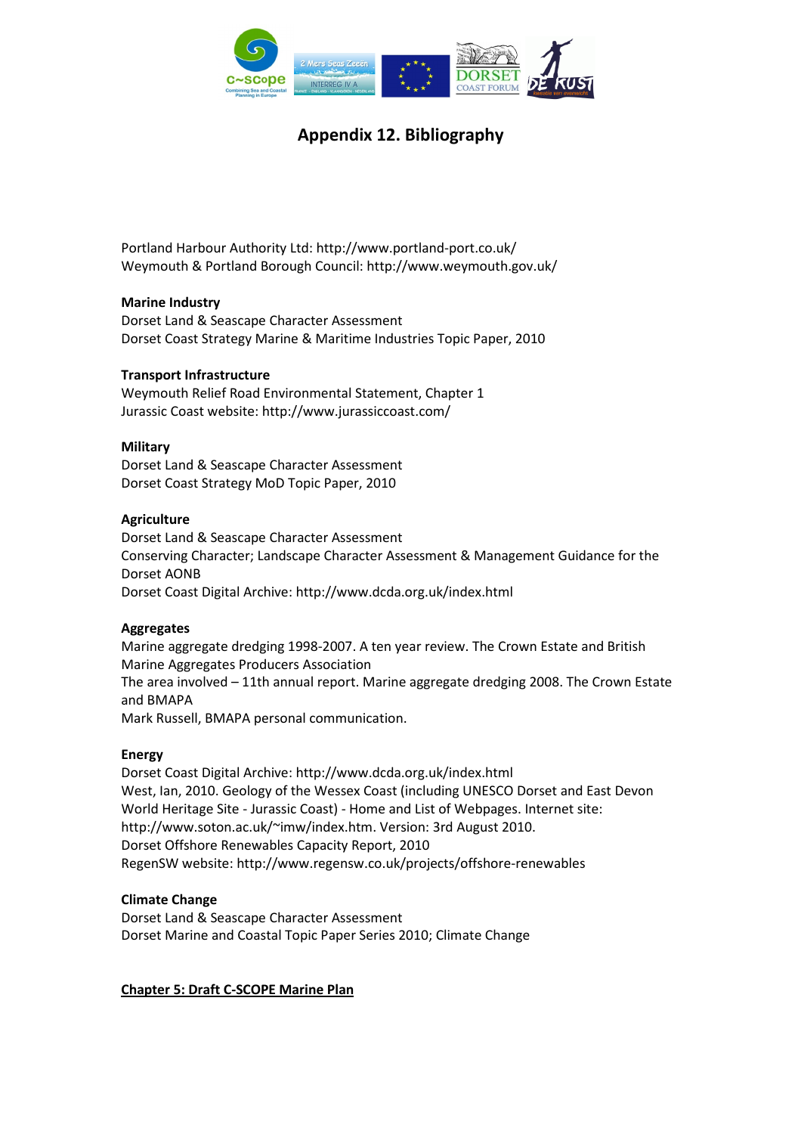

Portland Harbour Authority Ltd: http://www.portland-port.co.uk/ Weymouth & Portland Borough Council: http://www.weymouth.gov.uk/

#### Marine Industry

Dorset Land & Seascape Character Assessment Dorset Coast Strategy Marine & Maritime Industries Topic Paper, 2010

#### Transport Infrastructure

Weymouth Relief Road Environmental Statement, Chapter 1 Jurassic Coast website: http://www.jurassiccoast.com/

#### **Military**

Dorset Land & Seascape Character Assessment Dorset Coast Strategy MoD Topic Paper, 2010

#### **Agriculture**

Dorset Land & Seascape Character Assessment Conserving Character; Landscape Character Assessment & Management Guidance for the Dorset AONB Dorset Coast Digital Archive: http://www.dcda.org.uk/index.html

#### Aggregates

Marine aggregate dredging 1998-2007. A ten year review. The Crown Estate and British Marine Aggregates Producers Association The area involved – 11th annual report. Marine aggregate dredging 2008. The Crown Estate and BMAPA Mark Russell, BMAPA personal communication.

## Energy

Dorset Coast Digital Archive: http://www.dcda.org.uk/index.html West, Ian, 2010. Geology of the Wessex Coast (including UNESCO Dorset and East Devon World Heritage Site - Jurassic Coast) - Home and List of Webpages. Internet site: http://www.soton.ac.uk/~imw/index.htm. Version: 3rd August 2010. Dorset Offshore Renewables Capacity Report, 2010 RegenSW website: http://www.regensw.co.uk/projects/offshore-renewables

## Climate Change

Dorset Land & Seascape Character Assessment Dorset Marine and Coastal Topic Paper Series 2010; Climate Change

## Chapter 5: Draft C-SCOPE Marine Plan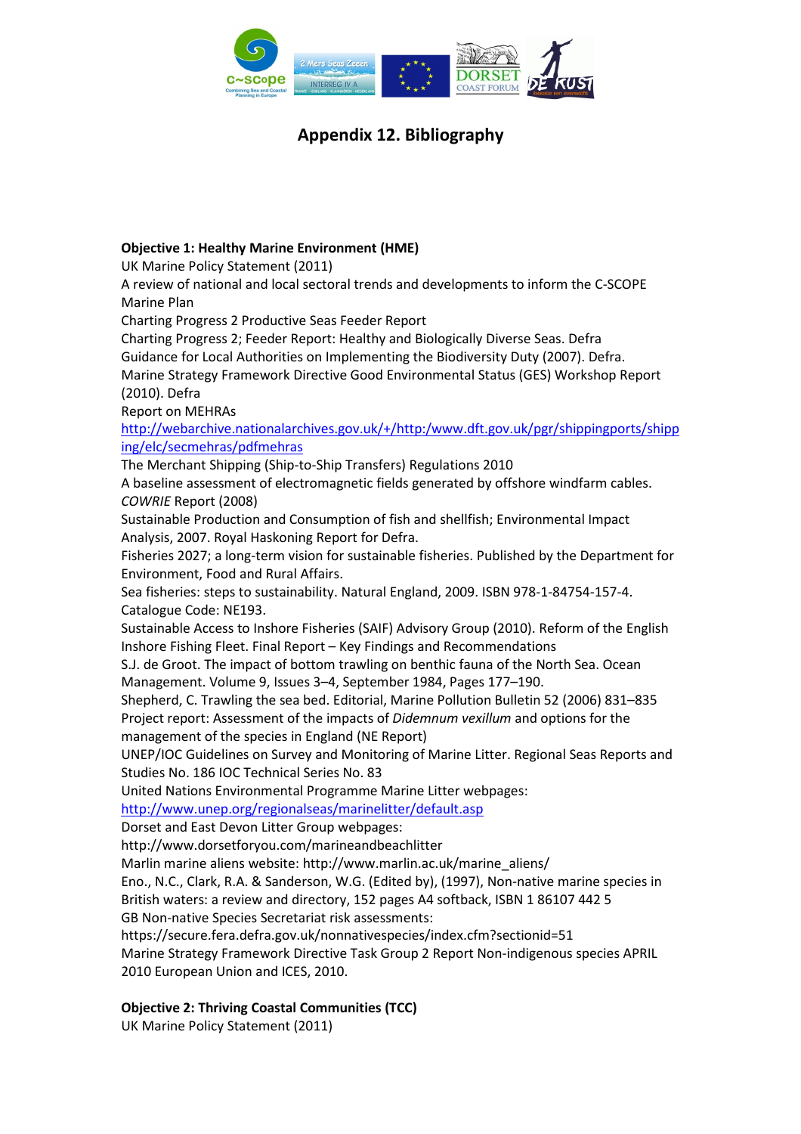

## Objective 1: Healthy Marine Environment (HME)

UK Marine Policy Statement (2011)

A review of national and local sectoral trends and developments to inform the C-SCOPE Marine Plan

Charting Progress 2 Productive Seas Feeder Report

Charting Progress 2; Feeder Report: Healthy and Biologically Diverse Seas. Defra

Guidance for Local Authorities on Implementing the Biodiversity Duty (2007). Defra.

Marine Strategy Framework Directive Good Environmental Status (GES) Workshop Report (2010). Defra

Report on MEHRAs

http://webarchive.nationalarchives.gov.uk/+/http:/www.dft.gov.uk/pgr/shippingports/shipp ing/elc/secmehras/pdfmehras

The Merchant Shipping (Ship-to-Ship Transfers) Regulations 2010

A baseline assessment of electromagnetic fields generated by offshore windfarm cables. COWRIE Report (2008)

Sustainable Production and Consumption of fish and shellfish; Environmental Impact Analysis, 2007. Royal Haskoning Report for Defra.

Fisheries 2027; a long-term vision for sustainable fisheries. Published by the Department for Environment, Food and Rural Affairs.

Sea fisheries: steps to sustainability. Natural England, 2009. ISBN 978-1-84754-157-4. Catalogue Code: NE193.

Sustainable Access to Inshore Fisheries (SAIF) Advisory Group (2010). Reform of the English Inshore Fishing Fleet. Final Report – Key Findings and Recommendations

S.J. de Groot. The impact of bottom trawling on benthic fauna of the North Sea. Ocean Management. Volume 9, Issues 3–4, September 1984, Pages 177–190.

Shepherd, C. Trawling the sea bed. Editorial, Marine Pollution Bulletin 52 (2006) 831–835 Project report: Assessment of the impacts of Didemnum vexillum and options for the management of the species in England (NE Report)

UNEP/IOC Guidelines on Survey and Monitoring of Marine Litter. Regional Seas Reports and Studies No. 186 IOC Technical Series No. 83

United Nations Environmental Programme Marine Litter webpages:

http://www.unep.org/regionalseas/marinelitter/default.asp

Dorset and East Devon Litter Group webpages:

http://www.dorsetforyou.com/marineandbeachlitter

Marlin marine aliens website: http://www.marlin.ac.uk/marine\_aliens/

Eno., N.C., Clark, R.A. & Sanderson, W.G. (Edited by), (1997), Non-native marine species in British waters: a review and directory, 152 pages A4 softback, ISBN 1 86107 442 5 GB Non-native Species Secretariat risk assessments:

https://secure.fera.defra.gov.uk/nonnativespecies/index.cfm?sectionid=51

Marine Strategy Framework Directive Task Group 2 Report Non-indigenous species APRIL 2010 European Union and ICES, 2010.

## Objective 2: Thriving Coastal Communities (TCC)

UK Marine Policy Statement (2011)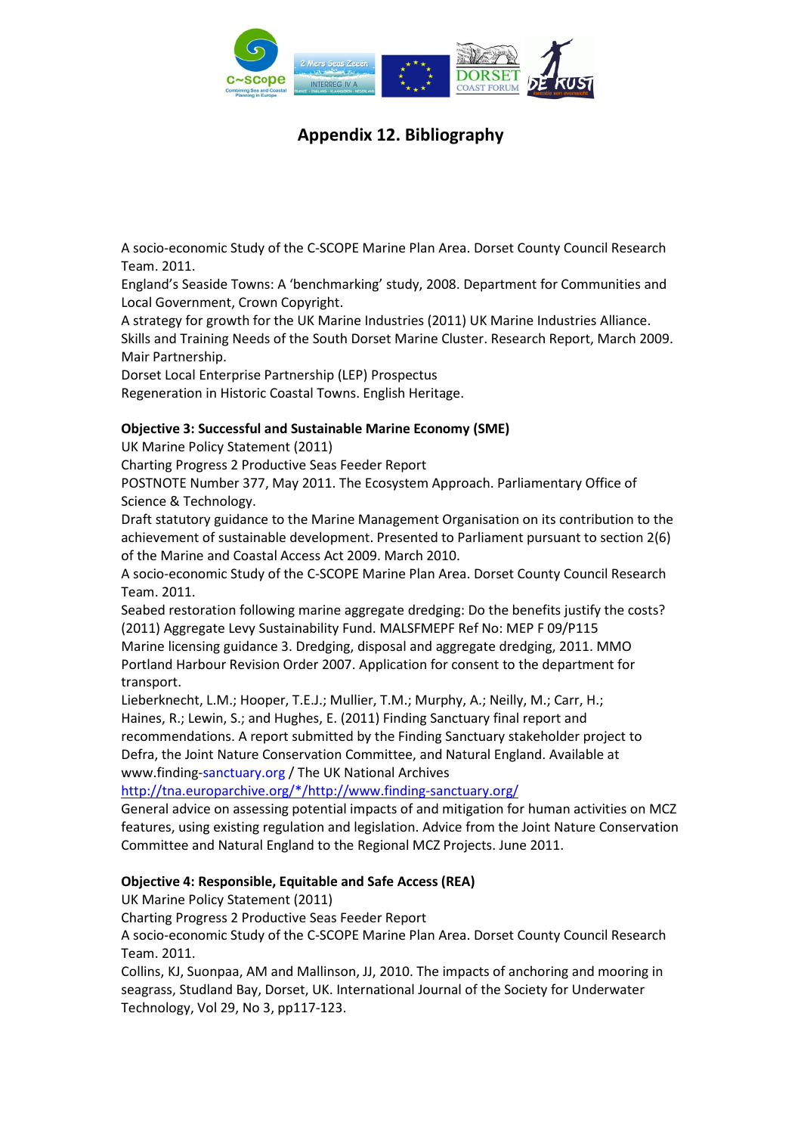

A socio-economic Study of the C-SCOPE Marine Plan Area. Dorset County Council Research Team. 2011.

England's Seaside Towns: A 'benchmarking' study, 2008. Department for Communities and Local Government, Crown Copyright.

A strategy for growth for the UK Marine Industries (2011) UK Marine Industries Alliance. Skills and Training Needs of the South Dorset Marine Cluster. Research Report, March 2009. Mair Partnership.

Dorset Local Enterprise Partnership (LEP) Prospectus

Regeneration in Historic Coastal Towns. English Heritage.

## Objective 3: Successful and Sustainable Marine Economy (SME)

UK Marine Policy Statement (2011)

Charting Progress 2 Productive Seas Feeder Report

POSTNOTE Number 377, May 2011. The Ecosystem Approach. Parliamentary Office of Science & Technology.

Draft statutory guidance to the Marine Management Organisation on its contribution to the achievement of sustainable development. Presented to Parliament pursuant to section 2(6) of the Marine and Coastal Access Act 2009. March 2010.

A socio-economic Study of the C-SCOPE Marine Plan Area. Dorset County Council Research Team. 2011.

Seabed restoration following marine aggregate dredging: Do the benefits justify the costs? (2011) Aggregate Levy Sustainability Fund. MALSFMEPF Ref No: MEP F 09/P115 Marine licensing guidance 3. Dredging, disposal and aggregate dredging, 2011. MMO Portland Harbour Revision Order 2007. Application for consent to the department for transport.

Lieberknecht, L.M.; Hooper, T.E.J.; Mullier, T.M.; Murphy, A.; Neilly, M.; Carr, H.; Haines, R.; Lewin, S.; and Hughes, E. (2011) Finding Sanctuary final report and recommendations. A report submitted by the Finding Sanctuary stakeholder project to Defra, the Joint Nature Conservation Committee, and Natural England. Available at www.finding-sanctuary.org / The UK National Archives

http://tna.europarchive.org/\*/http://www.finding-sanctuary.org/

General advice on assessing potential impacts of and mitigation for human activities on MCZ features, using existing regulation and legislation. Advice from the Joint Nature Conservation Committee and Natural England to the Regional MCZ Projects. June 2011.

## Objective 4: Responsible, Equitable and Safe Access (REA)

UK Marine Policy Statement (2011)

Charting Progress 2 Productive Seas Feeder Report

A socio-economic Study of the C-SCOPE Marine Plan Area. Dorset County Council Research Team. 2011.

Collins, KJ, Suonpaa, AM and Mallinson, JJ, 2010. The impacts of anchoring and mooring in seagrass, Studland Bay, Dorset, UK. International Journal of the Society for Underwater Technology, Vol 29, No 3, pp117-123.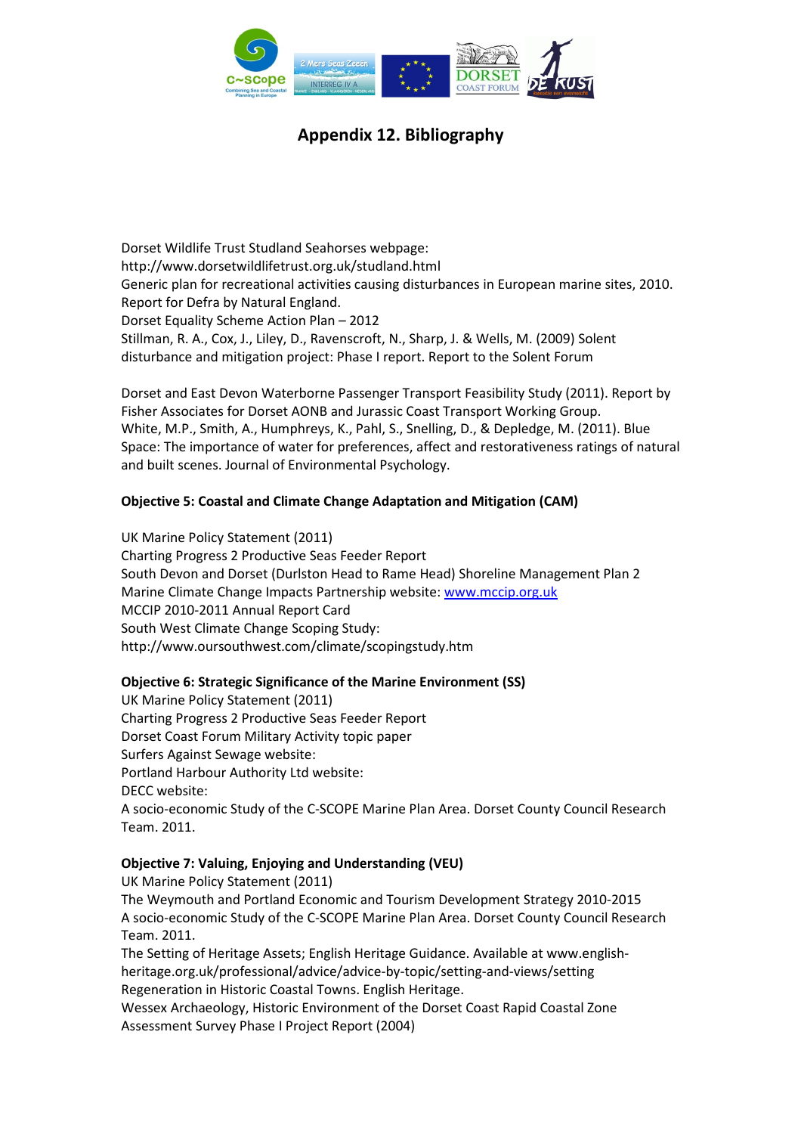

Dorset Wildlife Trust Studland Seahorses webpage: http://www.dorsetwildlifetrust.org.uk/studland.html Generic plan for recreational activities causing disturbances in European marine sites, 2010. Report for Defra by Natural England. Dorset Equality Scheme Action Plan – 2012 Stillman, R. A., Cox, J., Liley, D., Ravenscroft, N., Sharp, J. & Wells, M. (2009) Solent disturbance and mitigation project: Phase I report. Report to the Solent Forum

Dorset and East Devon Waterborne Passenger Transport Feasibility Study (2011). Report by Fisher Associates for Dorset AONB and Jurassic Coast Transport Working Group. White, M.P., Smith, A., Humphreys, K., Pahl, S., Snelling, D., & Depledge, M. (2011). Blue Space: The importance of water for preferences, affect and restorativeness ratings of natural and built scenes. Journal of Environmental Psychology.

## Objective 5: Coastal and Climate Change Adaptation and Mitigation (CAM)

UK Marine Policy Statement (2011) Charting Progress 2 Productive Seas Feeder Report South Devon and Dorset (Durlston Head to Rame Head) Shoreline Management Plan 2 Marine Climate Change Impacts Partnership website: www.mccip.org.uk MCCIP 2010-2011 Annual Report Card South West Climate Change Scoping Study: http://www.oursouthwest.com/climate/scopingstudy.htm

#### Objective 6: Strategic Significance of the Marine Environment (SS)

UK Marine Policy Statement (2011) Charting Progress 2 Productive Seas Feeder Report Dorset Coast Forum Military Activity topic paper Surfers Against Sewage website: Portland Harbour Authority Ltd website: DECC website: A socio-economic Study of the C-SCOPE Marine Plan Area. Dorset County Council Research Team. 2011.

#### Objective 7: Valuing, Enjoying and Understanding (VEU)

UK Marine Policy Statement (2011)

The Weymouth and Portland Economic and Tourism Development Strategy 2010-2015 A socio-economic Study of the C-SCOPE Marine Plan Area. Dorset County Council Research Team. 2011.

The Setting of Heritage Assets; English Heritage Guidance. Available at www.englishheritage.org.uk/professional/advice/advice-by-topic/setting-and-views/setting Regeneration in Historic Coastal Towns. English Heritage.

Wessex Archaeology, Historic Environment of the Dorset Coast Rapid Coastal Zone Assessment Survey Phase I Project Report (2004)